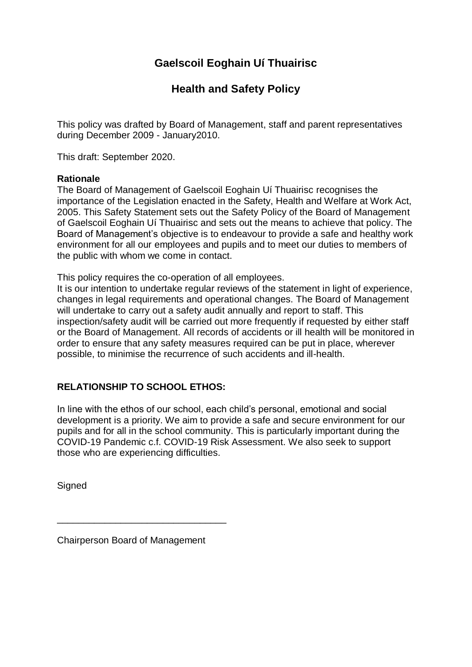# **Gaelscoil Eoghain Uí Thuairisc**

# **Health and Safety Policy**

This policy was drafted by Board of Management, staff and parent representatives during December 2009 - January2010.

This draft: September 2020.

#### **Rationale**

The Board of Management of Gaelscoil Eoghain Uí Thuairisc recognises the importance of the Legislation enacted in the Safety, Health and Welfare at Work Act, 2005. This Safety Statement sets out the Safety Policy of the Board of Management of Gaelscoil Eoghain Uí Thuairisc and sets out the means to achieve that policy. The Board of Management's objective is to endeavour to provide a safe and healthy work environment for all our employees and pupils and to meet our duties to members of the public with whom we come in contact.

This policy requires the co-operation of all employees.

It is our intention to undertake regular reviews of the statement in light of experience, changes in legal requirements and operational changes. The Board of Management will undertake to carry out a safety audit annually and report to staff. This inspection/safety audit will be carried out more frequently if requested by either staff or the Board of Management. All records of accidents or ill health will be monitored in order to ensure that any safety measures required can be put in place, wherever possible, to minimise the recurrence of such accidents and ill-health.

# **RELATIONSHIP TO SCHOOL ETHOS:**

In line with the ethos of our school, each child's personal, emotional and social development is a priority. We aim to provide a safe and secure environment for our pupils and for all in the school community. This is particularly important during the COVID-19 Pandemic c.f. COVID-19 Risk Assessment. We also seek to support those who are experiencing difficulties.

**Signed** 

Chairperson Board of Management

\_\_\_\_\_\_\_\_\_\_\_\_\_\_\_\_\_\_\_\_\_\_\_\_\_\_\_\_\_\_\_\_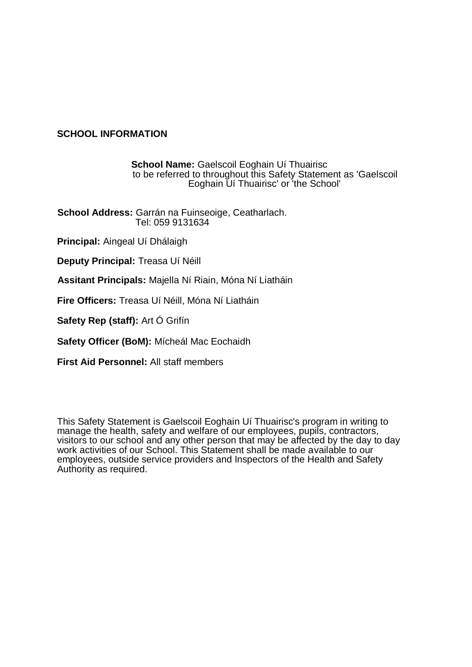#### **SCHOOL INFORMATION**

**School Name:** Gaelscoil Eoghain Uí Thuairisc to be referred to throughout this Safety Statement as 'Gaelscoil Eoghain Uí Thuairisc' or 'the School'

**School Address:** Garrán na Fuinseoige, Ceatharlach. Tel: 059 9131634

**Principal:** Aingeal Uí Dhálaigh

**Deputy Principal:** Treasa Uí Néill

**Assitant Principals:** Majella Ní Riain, Móna Ní Liatháin

**Fire Officers:** Treasa Uí Néill, Móna Ní Liatháin

**Safety Rep (staff):** Art Ó Grifín

**Safety Officer (BoM):** Mícheál Mac Eochaidh

**First Aid Personnel:** All staff members

This Safety Statement is Gaelscoil Eoghain Uí Thuairisc's program in writing to manage the health, safety and welfare of our employees, pupils, contractors, visitors to our school and any other person that may be affected by the day to day work activities of our School. This Statement shall be made available to our employees, outside service providers and Inspectors of the Health and Safety Authority as required.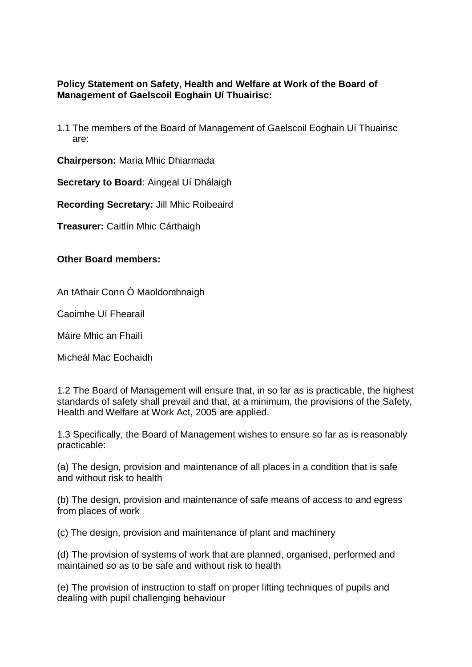### **Policy Statement on Safety, Health and Welfare at Work of the Board of Management of Gaelscoil Eoghain Uí Thuairisc:**

1.1 The members of the Board of Management of Gaelscoil Eoghain Uí Thuairisc are:

**Chairperson:** Maria Mhic Dhiarmada

**Secretary to Board**: Aingeal Uí Dhálaigh

**Recording Secretary:** Jill Mhic Roibeaird

**Treasurer:** Caitlín Mhic Cárthaigh

**Other Board members:**

An tAthair Conn Ó Maoldomhnaigh

Caoimhe Uí Fhearaíl

Máire Mhic an Fhailí

Micheál Mac Eochaidh

1.2 The Board of Management will ensure that, in so far as is practicable, the highest standards of safety shall prevail and that, at a minimum, the provisions of the Safety, Health and Welfare at Work Act, 2005 are applied.

1.3 Specifically, the Board of Management wishes to ensure so far as is reasonably practicable:

(a) The design, provision and maintenance of all places in a condition that is safe and without risk to health

(b) The design, provision and maintenance of safe means of access to and egress from places of work

(c) The design, provision and maintenance of plant and machinery

(d) The provision of systems of work that are planned, organised, performed and maintained so as to be safe and without risk to health

(e) The provision of instruction to staff on proper lifting techniques of pupils and dealing with pupil challenging behaviour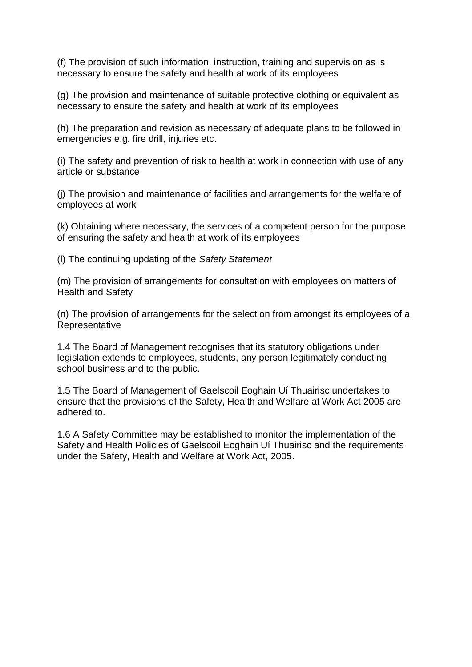(f) The provision of such information, instruction, training and supervision as is necessary to ensure the safety and health at work of its employees

(g) The provision and maintenance of suitable protective clothing or equivalent as necessary to ensure the safety and health at work of its employees

(h) The preparation and revision as necessary of adequate plans to be followed in emergencies e.g. fire drill, injuries etc.

(i) The safety and prevention of risk to health at work in connection with use of any article or substance

(j) The provision and maintenance of facilities and arrangements for the welfare of employees at work

(k) Obtaining where necessary, the services of a competent person for the purpose of ensuring the safety and health at work of its employees

(l) The continuing updating of the *Safety Statement*

(m) The provision of arrangements for consultation with employees on matters of Health and Safety

(n) The provision of arrangements for the selection from amongst its employees of a **Representative** 

1.4 The Board of Management recognises that its statutory obligations under legislation extends to employees, students, any person legitimately conducting school business and to the public.

1.5 The Board of Management of Gaelscoil Eoghain Uí Thuairisc undertakes to ensure that the provisions of the Safety, Health and Welfare at Work Act 2005 are adhered to.

1.6 A Safety Committee may be established to monitor the implementation of the Safety and Health Policies of Gaelscoil Eoghain Uí Thuairisc and the requirements under the Safety, Health and Welfare at Work Act, 2005.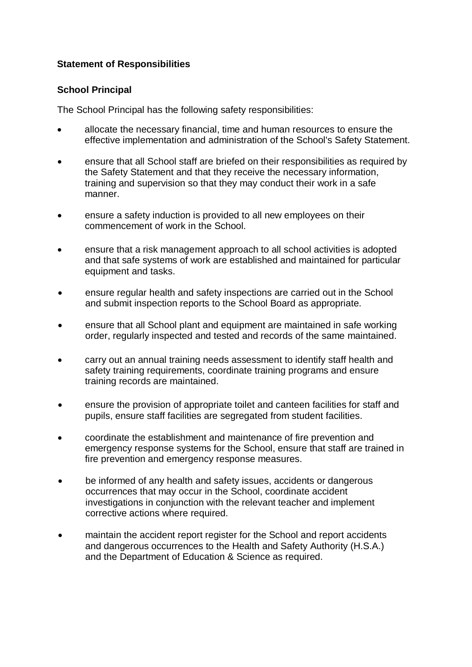# **Statement of Responsibilities**

### **School Principal**

The School Principal has the following safety responsibilities:

- allocate the necessary financial, time and human resources to ensure the effective implementation and administration of the School's Safety Statement.
- ensure that all School staff are briefed on their responsibilities as required by the Safety Statement and that they receive the necessary information, training and supervision so that they may conduct their work in a safe manner.
- ensure a safety induction is provided to all new employees on their commencement of work in the School.
- ensure that a risk management approach to all school activities is adopted and that safe systems of work are established and maintained for particular equipment and tasks.
- ensure regular health and safety inspections are carried out in the School and submit inspection reports to the School Board as appropriate.
- ensure that all School plant and equipment are maintained in safe working order, regularly inspected and tested and records of the same maintained.
- carry out an annual training needs assessment to identify staff health and safety training requirements, coordinate training programs and ensure training records are maintained.
- ensure the provision of appropriate toilet and canteen facilities for staff and pupils, ensure staff facilities are segregated from student facilities.
- coordinate the establishment and maintenance of fire prevention and emergency response systems for the School, ensure that staff are trained in fire prevention and emergency response measures.
- be informed of any health and safety issues, accidents or dangerous occurrences that may occur in the School, coordinate accident investigations in conjunction with the relevant teacher and implement corrective actions where required.
- maintain the accident report register for the School and report accidents and dangerous occurrences to the Health and Safety Authority (H.S.A.) and the Department of Education & Science as required.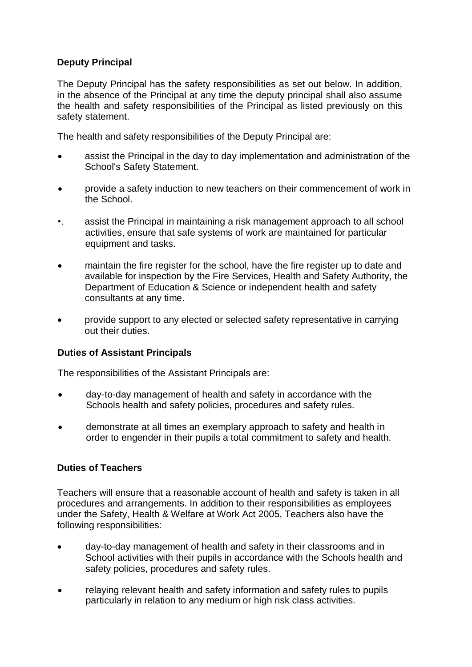# **Deputy Principal**

The Deputy Principal has the safety responsibilities as set out below. In addition, in the absence of the Principal at any time the deputy principal shall also assume the health and safety responsibilities of the Principal as listed previously on this safety statement.

The health and safety responsibilities of the Deputy Principal are:

- assist the Principal in the day to day implementation and administration of the School's Safety Statement.
- provide a safety induction to new teachers on their commencement of work in the School.
- •. assist the Principal in maintaining a risk management approach to all school activities, ensure that safe systems of work are maintained for particular equipment and tasks.
- maintain the fire register for the school, have the fire register up to date and available for inspection by the Fire Services, Health and Safety Authority, the Department of Education & Science or independent health and safety consultants at any time.
- provide support to any elected or selected safety representative in carrying out their duties.

#### **Duties of Assistant Principals**

The responsibilities of the Assistant Principals are:

- day-to-day management of health and safety in accordance with the Schools health and safety policies, procedures and safety rules.
- demonstrate at all times an exemplary approach to safety and health in order to engender in their pupils a total commitment to safety and health.

#### **Duties of Teachers**

Teachers will ensure that a reasonable account of health and safety is taken in all procedures and arrangements. In addition to their responsibilities as employees under the Safety, Health & Welfare at Work Act 2005, Teachers also have the following responsibilities:

- day-to-day management of health and safety in their classrooms and in School activities with their pupils in accordance with the Schools health and safety policies, procedures and safety rules.
- relaying relevant health and safety information and safety rules to pupils particularly in relation to any medium or high risk class activities.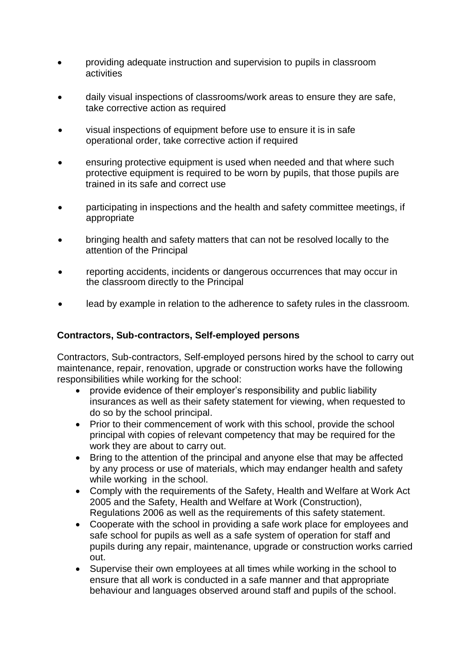- providing adequate instruction and supervision to pupils in classroom activities
- daily visual inspections of classrooms/work areas to ensure they are safe, take corrective action as required
- visual inspections of equipment before use to ensure it is in safe operational order, take corrective action if required
- ensuring protective equipment is used when needed and that where such protective equipment is required to be worn by pupils, that those pupils are trained in its safe and correct use
- participating in inspections and the health and safety committee meetings, if appropriate
- bringing health and safety matters that can not be resolved locally to the attention of the Principal
- reporting accidents, incidents or dangerous occurrences that may occur in the classroom directly to the Principal
- lead by example in relation to the adherence to safety rules in the classroom.

#### **Contractors, Sub-contractors, Self-employed persons**

Contractors, Sub-contractors, Self-employed persons hired by the school to carry out maintenance, repair, renovation, upgrade or construction works have the following responsibilities while working for the school:

- provide evidence of their employer's responsibility and public liability insurances as well as their safety statement for viewing, when requested to do so by the school principal.
- Prior to their commencement of work with this school, provide the school principal with copies of relevant competency that may be required for the work they are about to carry out.
- Bring to the attention of the principal and anyone else that may be affected by any process or use of materials, which may endanger health and safety while working in the school.
- Comply with the requirements of the Safety, Health and Welfare at Work Act 2005 and the Safety, Health and Welfare at Work (Construction), Regulations 2006 as well as the requirements of this safety statement.
- Cooperate with the school in providing a safe work place for employees and safe school for pupils as well as a safe system of operation for staff and pupils during any repair, maintenance, upgrade or construction works carried out.
- Supervise their own employees at all times while working in the school to ensure that all work is conducted in a safe manner and that appropriate behaviour and languages observed around staff and pupils of the school.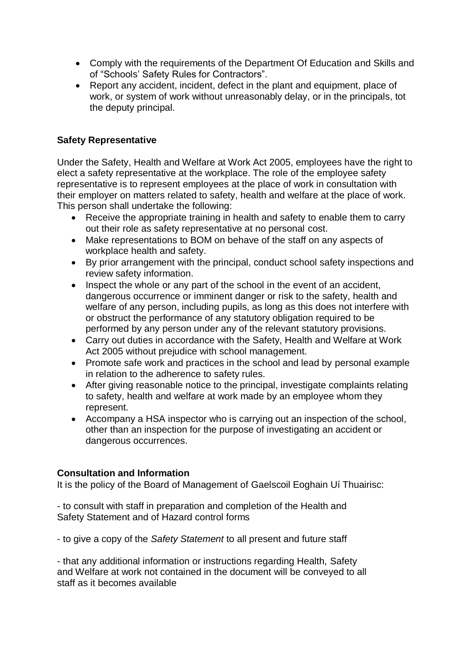- Comply with the requirements of the Department Of Education and Skills and of "Schools' Safety Rules for Contractors".
- Report any accident, incident, defect in the plant and equipment, place of work, or system of work without unreasonably delay, or in the principals, tot the deputy principal.

### **Safety Representative**

Under the Safety, Health and Welfare at Work Act 2005, employees have the right to elect a safety representative at the workplace. The role of the employee safety representative is to represent employees at the place of work in consultation with their employer on matters related to safety, health and welfare at the place of work. This person shall undertake the following:

- Receive the appropriate training in health and safety to enable them to carry out their role as safety representative at no personal cost.
- Make representations to BOM on behave of the staff on any aspects of workplace health and safety.
- By prior arrangement with the principal, conduct school safety inspections and review safety information.
- Inspect the whole or any part of the school in the event of an accident, dangerous occurrence or imminent danger or risk to the safety, health and welfare of any person, including pupils, as long as this does not interfere with or obstruct the performance of any statutory obligation required to be performed by any person under any of the relevant statutory provisions.
- Carry out duties in accordance with the Safety, Health and Welfare at Work Act 2005 without prejudice with school management.
- Promote safe work and practices in the school and lead by personal example in relation to the adherence to safety rules.
- After giving reasonable notice to the principal, investigate complaints relating to safety, health and welfare at work made by an employee whom they represent.
- Accompany a HSA inspector who is carrying out an inspection of the school, other than an inspection for the purpose of investigating an accident or dangerous occurrences.

#### **Consultation and Information**

It is the policy of the Board of Management of Gaelscoil Eoghain Uí Thuairisc:

- to consult with staff in preparation and completion of the Health and Safety Statement and of Hazard control forms

- to give a copy of the *Safety Statement* to all present and future staff

- that any additional information or instructions regarding Health, Safety and Welfare at work not contained in the document will be conveyed to all staff as it becomes available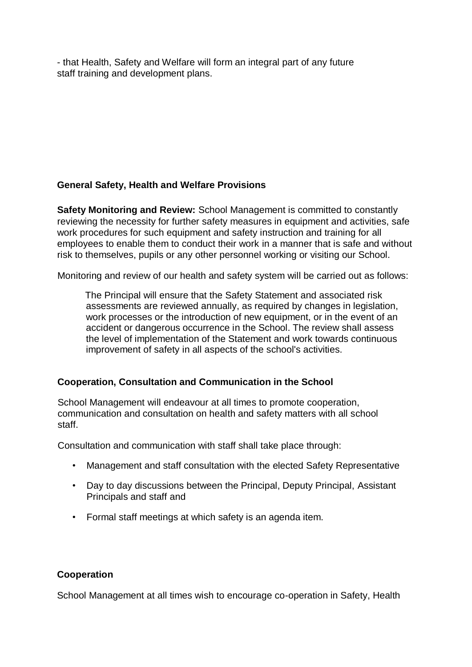- that Health, Safety and Welfare will form an integral part of any future staff training and development plans.

#### **General Safety, Health and Welfare Provisions**

**Safety Monitoring and Review:** School Management is committed to constantly reviewing the necessity for further safety measures in equipment and activities, safe work procedures for such equipment and safety instruction and training for all employees to enable them to conduct their work in a manner that is safe and without risk to themselves, pupils or any other personnel working or visiting our School.

Monitoring and review of our health and safety system will be carried out as follows:

The Principal will ensure that the Safety Statement and associated risk assessments are reviewed annually, as required by changes in legislation, work processes or the introduction of new equipment, or in the event of an accident or dangerous occurrence in the School. The review shall assess the level of implementation of the Statement and work towards continuous improvement of safety in all aspects of the school's activities.

# **Cooperation, Consultation and Communication in the School**

School Management will endeavour at all times to promote cooperation, communication and consultation on health and safety matters with all school staff.

Consultation and communication with staff shall take place through:

- Management and staff consultation with the elected Safety Representative
- Day to day discussions between the Principal, Deputy Principal, Assistant Principals and staff and
- Formal staff meetings at which safety is an agenda item.

# **Cooperation**

School Management at all times wish to encourage co-operation in Safety, Health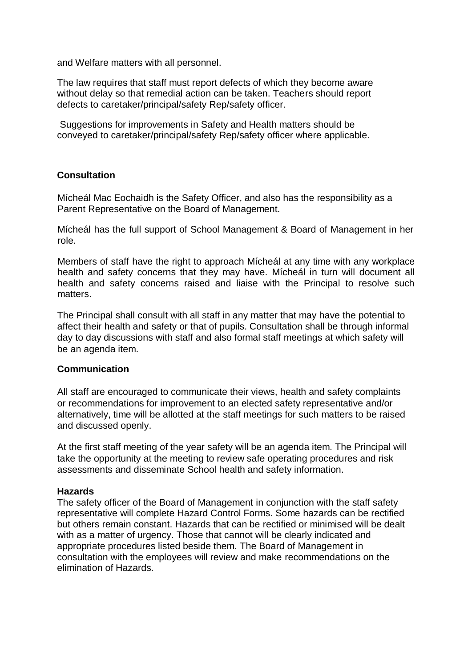and Welfare matters with all personnel.

The law requires that staff must report defects of which they become aware without delay so that remedial action can be taken. Teachers should report defects to caretaker/principal/safety Rep/safety officer.

Suggestions for improvements in Safety and Health matters should be conveyed to caretaker/principal/safety Rep/safety officer where applicable.

#### **Consultation**

Mícheál Mac Eochaidh is the Safety Officer, and also has the responsibility as a Parent Representative on the Board of Management.

Mícheál has the full support of School Management & Board of Management in her role.

Members of staff have the right to approach Mícheál at any time with any workplace health and safety concerns that they may have. Mícheál in turn will document all health and safety concerns raised and liaise with the Principal to resolve such matters.

The Principal shall consult with all staff in any matter that may have the potential to affect their health and safety or that of pupils. Consultation shall be through informal day to day discussions with staff and also formal staff meetings at which safety will be an agenda item.

#### **Communication**

All staff are encouraged to communicate their views, health and safety complaints or recommendations for improvement to an elected safety representative and/or alternatively, time will be allotted at the staff meetings for such matters to be raised and discussed openly.

At the first staff meeting of the year safety will be an agenda item. The Principal will take the opportunity at the meeting to review safe operating procedures and risk assessments and disseminate School health and safety information.

#### **Hazards**

The safety officer of the Board of Management in conjunction with the staff safety representative will complete Hazard Control Forms. Some hazards can be rectified but others remain constant. Hazards that can be rectified or minimised will be dealt with as a matter of urgency. Those that cannot will be clearly indicated and appropriate procedures listed beside them. The Board of Management in consultation with the employees will review and make recommendations on the elimination of Hazards.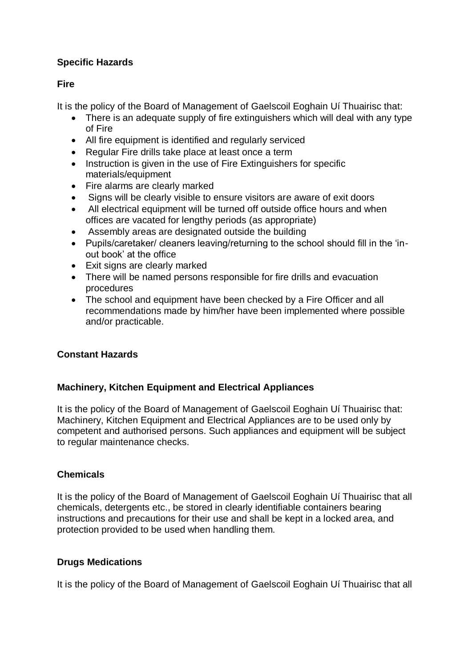# **Specific Hazards**

# **Fire**

It is the policy of the Board of Management of Gaelscoil Eoghain Uí Thuairisc that:

- There is an adequate supply of fire extinguishers which will deal with any type of Fire
- All fire equipment is identified and regularly serviced
- Regular Fire drills take place at least once a term
- Instruction is given in the use of Fire Extinguishers for specific materials/equipment
- Fire alarms are clearly marked
- Signs will be clearly visible to ensure visitors are aware of exit doors
- All electrical equipment will be turned off outside office hours and when offices are vacated for lengthy periods (as appropriate)
- Assembly areas are designated outside the building
- Pupils/caretaker/ cleaners leaving/returning to the school should fill in the 'inout book' at the office
- Exit signs are clearly marked
- There will be named persons responsible for fire drills and evacuation procedures
- The school and equipment have been checked by a Fire Officer and all recommendations made by him/her have been implemented where possible and/or practicable.

# **Constant Hazards**

# **Machinery, Kitchen Equipment and Electrical Appliances**

It is the policy of the Board of Management of Gaelscoil Eoghain Uí Thuairisc that: Machinery, Kitchen Equipment and Electrical Appliances are to be used only by competent and authorised persons. Such appliances and equipment will be subject to regular maintenance checks.

# **Chemicals**

It is the policy of the Board of Management of Gaelscoil Eoghain Uí Thuairisc that all chemicals, detergents etc., be stored in clearly identifiable containers bearing instructions and precautions for their use and shall be kept in a locked area, and protection provided to be used when handling them.

# **Drugs Medications**

It is the policy of the Board of Management of Gaelscoil Eoghain Uí Thuairisc that all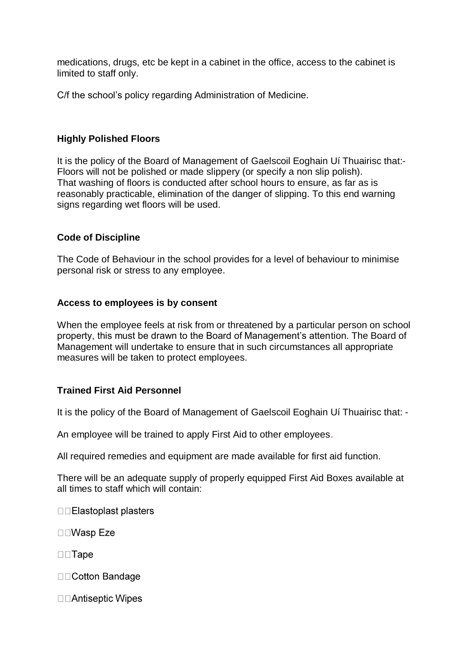medications, drugs, etc be kept in a cabinet in the office, access to the cabinet is limited to staff only.

C/f the school's policy regarding Administration of Medicine.

### **Highly Polished Floors**

It is the policy of the Board of Management of Gaelscoil Eoghain Uí Thuairisc that:- Floors will not be polished or made slippery (or specify a non slip polish). That washing of floors is conducted after school hours to ensure, as far as is reasonably practicable, elimination of the danger of slipping. To this end warning signs regarding wet floors will be used.

#### **Code of Discipline**

The Code of Behaviour in the school provides for a level of behaviour to minimise personal risk or stress to any employee.

#### **Access to employees is by consent**

When the employee feels at risk from or threatened by a particular person on school property, this must be drawn to the Board of Management's attention. The Board of Management will undertake to ensure that in such circumstances all appropriate measures will be taken to protect employees.

#### **Trained First Aid Personnel**

It is the policy of the Board of Management of Gaelscoil Eoghain Uí Thuairisc that: -

An employee will be trained to apply First Aid to other employees.

All required remedies and equipment are made available for first aid function.

There will be an adequate supply of properly equipped First Aid Boxes available at all times to staff which will contain:

□□Elastoplast plasters

□□Wasp Eze

 $\square \square$ Tape

□□Cotton Bandage

□□Antiseptic Wipes